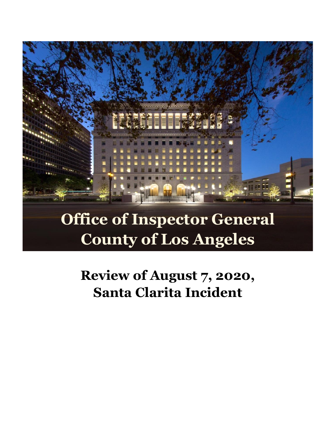

# **Office of Inspector General County of Los Angeles**

**Review of August 7, 2020, Santa Clarita Incident**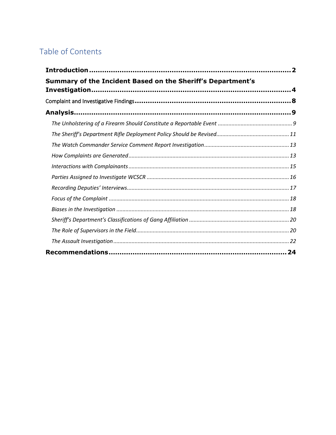# Table of Contents

| Summary of the Incident Based on the Sheriff's Department's |  |
|-------------------------------------------------------------|--|
|                                                             |  |
|                                                             |  |
|                                                             |  |
|                                                             |  |
|                                                             |  |
|                                                             |  |
|                                                             |  |
|                                                             |  |
|                                                             |  |
|                                                             |  |
|                                                             |  |
|                                                             |  |
|                                                             |  |
|                                                             |  |
|                                                             |  |
|                                                             |  |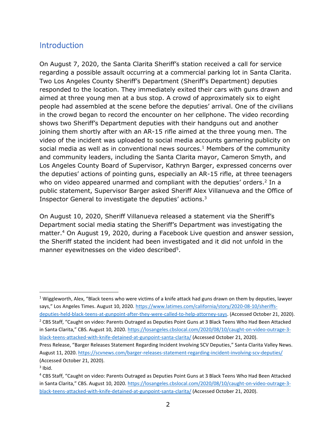# <span id="page-2-0"></span>Introduction

On August 7, 2020, the Santa Clarita Sheriff's station received a call for service regarding a possible assault occurring at a commercial parking lot in Santa Clarita. Two Los Angeles County Sheriff's Department (Sheriff's Department) deputies responded to the location. They immediately exited their cars with guns drawn and aimed at three young men at a bus stop. A crowd of approximately six to eight people had assembled at the scene before the deputies' arrival. One of the civilians in the crowd began to record the encounter on her cellphone. The video recording shows two Sheriff's Department deputies with their handguns out and another joining them shortly after with an AR-15 rifle aimed at the three young men. The video of the incident was uploaded to social media accounts garnering publicity on social media as well as in conventional news sources. <sup>1</sup> Members of the community and community leaders, including the Santa Clarita mayor, Cameron Smyth, and Los Angeles County Board of Supervisor, Kathryn Barger, expressed concerns over the deputies' actions of pointing guns, especially an AR-15 rifle, at three teenagers who on video appeared unarmed and compliant with the deputies' orders.<sup>2</sup> In a public statement, Supervisor Barger asked Sheriff Alex Villanueva and the Office of Inspector General to investigate the deputies' actions. 3

On August 10, 2020, Sheriff Villanueva released a statement via the Sheriff's Department social media stating the Sheriff's Department was investigating the matter.<sup>4</sup> On August 19, 2020, during a Facebook Live question and answer session, the Sheriff stated the incident had been investigated and it did not unfold in the manner eyewitnesses on the video described<sup>5</sup>.

 $1$  Wiggleworth, Alex, "Black teens who were victims of a knife attack had guns drawn on them by deputies, lawyer says," Los Angeles Times. August 10, 2020. [https://www.latimes.com/california/story/2020-08-10/sheriffs](https://www.latimes.com/california/story/2020-08-10/sheriffs-deputies-held-black-teens-at-gunpoint-after-they-were-called-to-help-attorney-says)[deputies-held-black-teens-at-gunpoint-after-they-were-called-to-help-attorney-says.](https://www.latimes.com/california/story/2020-08-10/sheriffs-deputies-held-black-teens-at-gunpoint-after-they-were-called-to-help-attorney-says) (Accessed October 21, 2020).

<sup>&</sup>lt;sup>2</sup> CBS Staff, "Caught on video: Parents Outraged as Deputies Point Guns at 3 Black Teens Who Had Been Attacked in Santa Clarita," CBS. August 10, 2020. [https://losangeles.cbslocal.com/2020/08/10/caught-on-video-outrage-3](https://losangeles.cbslocal.com/2020/08/10/caught-on-video-outrage-3-black-teens-attacked-with-knife-detained-at-gunpoint-santa-clarita/) [black-teens-attacked-with-knife-detained-at-gunpoint-santa-clarita/](https://losangeles.cbslocal.com/2020/08/10/caught-on-video-outrage-3-black-teens-attacked-with-knife-detained-at-gunpoint-santa-clarita/) (Accessed October 21, 2020).

Press Release, "[Barger Releases Statement Regarding Incident Involving SCV Deputies](https://scvnews.com/barger-releases-statement-regarding-incident-involving-scv-deputies/)," Santa Clarita Valley News. August 11, 2020[. https://scvnews.com/barger-releases-statement-regarding-incident-involving-scv-deputies/](https://scvnews.com/barger-releases-statement-regarding-incident-involving-scv-deputies/) (Accessed October 21, 2020).

 $3$  Ibid.

<sup>4</sup> CBS Staff, "Caught on video: Parents Outraged as Deputies Point Guns at 3 Black Teens Who Had Been Attacked in Santa Clarita," CBS. August 10, 2020. [https://losangeles.cbslocal.com/2020/08/10/caught-on-video-outrage-3](https://losangeles.cbslocal.com/2020/08/10/caught-on-video-outrage-3-black-teens-attacked-with-knife-detained-at-gunpoint-santa-clarita/) [black-teens-attacked-with-knife-detained-at-gunpoint-santa-clarita/](https://losangeles.cbslocal.com/2020/08/10/caught-on-video-outrage-3-black-teens-attacked-with-knife-detained-at-gunpoint-santa-clarita/) (Accessed October 21, 2020).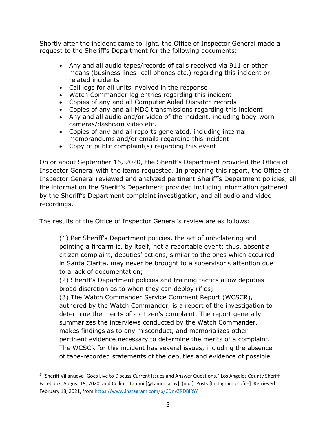Shortly after the incident came to light, the Office of Inspector General made a request to the Sheriff's Department for the following documents:

- Any and all audio tapes/records of calls received via 911 or other means (business lines -cell phones etc.) regarding this incident or related incidents
- Call logs for all units involved in the response
- Watch Commander log entries regarding this incident
- Copies of any and all Computer Aided Dispatch records
- Copies of any and all MDC transmissions regarding this incident
- Any and all audio and/or video of the incident, including body-worn cameras/dashcam video etc.
- Copies of any and all reports generated, including internal memorandums and/or emails regarding this incident
- Copy of public complaint(s) regarding this event

On or about September 16, 2020, the Sheriff's Department provided the Office of Inspector General with the items requested. In preparing this report, the Office of Inspector General reviewed and analyzed pertinent Sheriff's Department policies, all the information the Sheriff's Department provided including information gathered by the Sheriff's Department complaint investigation, and all audio and video recordings.

The results of the Office of Inspector General's review are as follows:

(1) Per Sheriff's Department policies, the act of unholstering and pointing a firearm is, by itself, not a reportable event; thus, absent a citizen complaint, deputies' actions, similar to the ones which occurred in Santa Clarita, may never be brought to a supervisor's attention due to a lack of documentation;

(2) Sheriff's Department policies and training tactics allow deputies broad discretion as to when they can deploy rifles;

(3) The Watch Commander Service Comment Report (WCSCR), authored by the Watch Commander, is a report of the investigation to determine the merits of a citizen's complaint. The report generally summarizes the interviews conducted by the Watch Commander, makes findings as to any misconduct, and memorializes other pertinent evidence necessary to determine the merits of a complaint. The WCSCR for this incident has several issues, including the absence of tape-recorded statements of the deputies and evidence of possible

<sup>&</sup>lt;sup>5</sup> "Sheriff Villanueva -Goes Live to Discuss Current Issues and Answer Questions," Los Angeles County Sheriff Facebook, August 19, 2020; and Collins, Tammi [@tammilaray]. (n.d.). Posts [Instagram profile]. Retrieved February 18, 2021, fro[m https://www.instagram.com/p/CDnvZRDBlRY/](https://www.instagram.com/p/CDnvZRDBlRY/)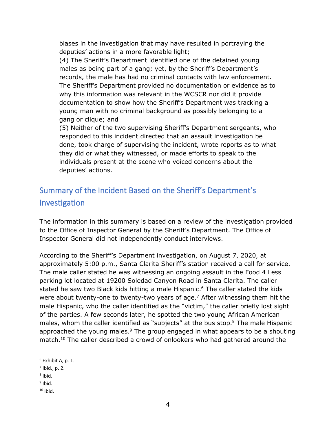biases in the investigation that may have resulted in portraying the deputies' actions in a more favorable light;

(4) The Sheriff's Department identified one of the detained young males as being part of a gang; yet, by the Sheriff's Department's records, the male has had no criminal contacts with law enforcement. The Sheriff's Department provided no documentation or evidence as to why this information was relevant in the WCSCR nor did it provide documentation to show how the Sheriff's Department was tracking a young man with no criminal background as possibly belonging to a gang or clique; and

(5) Neither of the two supervising Sheriff's Department sergeants, who responded to this incident directed that an assault investigation be done, took charge of supervising the incident, wrote reports as to what they did or what they witnessed, or made efforts to speak to the individuals present at the scene who voiced concerns about the deputies' actions.

# <span id="page-4-0"></span>Summary of the Incident Based on the Sheriff's Department's Investigation

The information in this summary is based on a review of the investigation provided to the Office of Inspector General by the Sheriff's Department. The Office of Inspector General did not independently conduct interviews.

According to the Sheriff's Department investigation, on August 7, 2020, at approximately 5:00 p.m., Santa Clarita Sheriff's station received a call for service. The male caller stated he was witnessing an ongoing assault in the Food 4 Less parking lot located at 19200 Soledad Canyon Road in Santa Clarita. The caller stated he saw two Black kids hitting a male Hispanic. <sup>6</sup> The caller stated the kids were about twenty-one to twenty-two years of age.<sup>7</sup> After witnessing them hit the male Hispanic, who the caller identified as the "victim," the caller briefly lost sight of the parties. A few seconds later, he spotted the two young African American males, whom the caller identified as "subjects" at the bus stop. <sup>8</sup> The male Hispanic approached the young males. $9$  The group engaged in what appears to be a shouting match.<sup>10</sup> The caller described a crowd of onlookers who had gathered around the

<sup>6</sup> Exhibit A*,* p. 1.

 $<sup>7</sup>$  Ibid., p. 2.</sup>

<sup>&</sup>lt;sup>8</sup> Ibid.

<sup>&</sup>lt;sup>9</sup> Ibid.

 $10$  Ibid.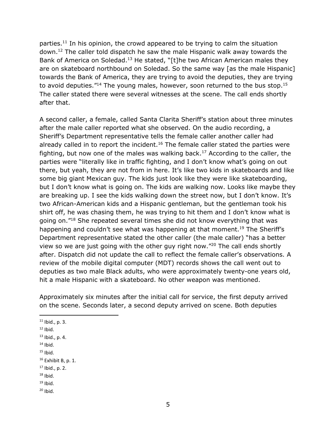parties. <sup>11</sup> In his opinion, the crowd appeared to be trying to calm the situation down. <sup>12</sup> The caller told dispatch he saw the male Hispanic walk away towards the Bank of America on Soledad.<sup>13</sup> He stated, "[t]he two African American males they are on skateboard northbound on Soledad. So the same way [as the male Hispanic] towards the Bank of America, they are trying to avoid the deputies, they are trying to avoid deputies."<sup>14</sup> The young males, however, soon returned to the bus stop.<sup>15</sup> The caller stated there were several witnesses at the scene. The call ends shortly after that.

A second caller, a female, called Santa Clarita Sheriff's station about three minutes after the male caller reported what she observed. On the audio recording, a Sheriff's Department representative tells the female caller another caller had already called in to report the incident.<sup>16</sup> The female caller stated the parties were fighting, but now one of the males was walking back.<sup>17</sup> According to the caller, the parties were "literally like in traffic fighting, and I don't know what's going on out there, but yeah, they are not from in here. It's like two kids in skateboards and like some big giant Mexican guy. The kids just look like they were like skateboarding, but I don't know what is going on. The kids are walking now. Looks like maybe they are breaking up. I see the kids walking down the street now, but I don't know. It's two African-American kids and a Hispanic gentleman, but the gentleman took his shirt off, he was chasing them, he was trying to hit them and I don't know what is going on."<sup>18</sup> She repeated several times she did not know everything that was happening and couldn't see what was happening at that moment.<sup>19</sup> The Sheriff's Department representative stated the other caller (the male caller) "has a better view so we are just going with the other guy right now."<sup>20</sup> The call ends shortly after. Dispatch did not update the call to reflect the female caller's observations. A review of the mobile digital computer (MDT) records shows the call went out to deputies as two male Black adults, who were approximately twenty-one years old, hit a male Hispanic with a skateboard. No other weapon was mentioned.

Approximately six minutes after the initial call for service, the first deputy arrived on the scene. Seconds later, a second deputy arrived on scene. Both deputies

 $14$  Ibid.

 $18$  Ibid.

 $20$  Ibid.

 $11$  Ibid., p. 3.

 $12$  Ibid.

 $13$  Ibid., p. 4.

 $15$  Ibid.

 $16$  Exhibit B, p. 1.

 $17$  Ibid., p. 2.

 $19$  Ibid.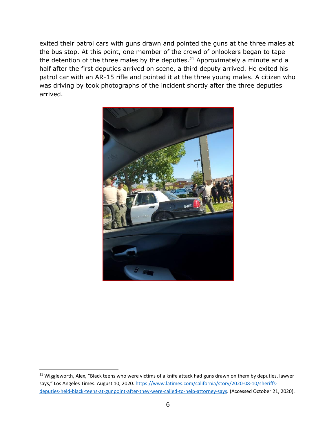exited their patrol cars with guns drawn and pointed the guns at the three males at the bus stop. At this point, one member of the crowd of onlookers began to tape the detention of the three males by the deputies.<sup>21</sup> Approximately a minute and a half after the first deputies arrived on scene, a third deputy arrived. He exited his patrol car with an AR-15 rifle and pointed it at the three young males. A citizen who was driving by took photographs of the incident shortly after the three deputies arrived.



<sup>&</sup>lt;sup>21</sup> Wiggleworth, Alex, "Black teens who were victims of a knife attack had guns drawn on them by deputies, lawyer says," Los Angeles Times. August 10, 2020. [https://www.latimes.com/california/story/2020-08-10/sheriffs](https://www.latimes.com/california/story/2020-08-10/sheriffs-deputies-held-black-teens-at-gunpoint-after-they-were-called-to-help-attorney-says)[deputies-held-black-teens-at-gunpoint-after-they-were-called-to-help-attorney-says.](https://www.latimes.com/california/story/2020-08-10/sheriffs-deputies-held-black-teens-at-gunpoint-after-they-were-called-to-help-attorney-says) (Accessed October 21, 2020).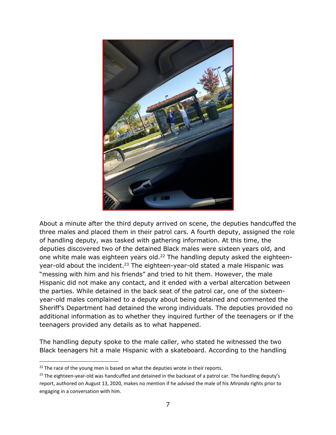

About a minute after the third deputy arrived on scene, the deputies handcuffed the three males and placed them in their patrol cars. A fourth deputy, assigned the role of handling deputy, was tasked with gathering information. At this time, the deputies discovered two of the detained Black males were sixteen years old, and one white male was eighteen years old.<sup>22</sup> The handling deputy asked the eighteenyear-old about the incident.<sup>23</sup> The eighteen-year-old stated a male Hispanic was "messing with him and his friends" and tried to hit them. However, the male Hispanic did not make any contact, and it ended with a verbal altercation between the parties. While detained in the back seat of the patrol car, one of the sixteenyear-old males complained to a deputy about being detained and commented the Sheriff's Department had detained the wrong individuals. The deputies provided no additional information as to whether they inquired further of the teenagers or if the teenagers provided any details as to what happened.

The handling deputy spoke to the male caller, who stated he witnessed the two Black teenagers hit a male Hispanic with a skateboard. According to the handling

 $22$  The race of the young men is based on what the deputies wrote in their reports.

 $23$  The eighteen-year-old was handcuffed and detained in the backseat of a patrol car. The handling deputy's report, authored on August 13, 2020, makes no mention if he advised the male of his *Miranda* rights prior to engaging in a conversation with him.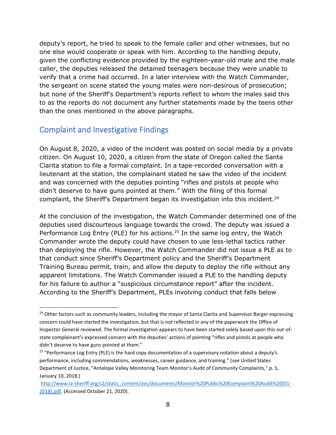deputy's report, he tried to speak to the female caller and other witnesses, but no one else would cooperate or speak with him. According to the handling deputy, given the conflicting evidence provided by the eighteen-year-old male and the male caller, the deputies released the detained teenagers because they were unable to verify that a crime had occurred. In a later interview with the Watch Commander, the sergeant on scene stated the young males were non-desirous of prosecution; but none of the Sheriff's Department's reports reflect to whom the males said this to as the reports do not document any further statements made by the teens other than the ones mentioned in the above paragraphs.

# <span id="page-8-0"></span>Complaint and Investigative Findings

On August 8, 2020, a video of the incident was posted on social media by a private citizen. On August 10, 2020, a citizen from the state of Oregon called the Santa Clarita station to file a formal complaint. In a tape-recorded conversation with a lieutenant at the station, the complainant stated he saw the video of the incident and was concerned with the deputies pointing "rifles and pistols at people who didn't deserve to have guns pointed at them." With the filing of this formal complaint, the Sheriff's Department began its investigation into this incident.<sup>24</sup>

At the conclusion of the investigation, the Watch Commander determined one of the deputies used discourteous language towards the crowd. The deputy was issued a Performance Log Entry (PLE) for his actions.<sup>25</sup> In the same log entry, the Watch Commander wrote the deputy could have chosen to use less-lethal tactics rather than deploying the rifle. However, the Watch Commander did not issue a PLE as to that conduct since Sheriff's Department policy and the Sheriff's Department Training Bureau permit, train, and allow the deputy to deploy the rifle without any apparent limitations. The Watch Commander issued a PLE to the handling deputy for his failure to author a "suspicious circumstance report" after the incident. According to the Sheriff's Department, PLEs involving conduct that falls below

<sup>&</sup>lt;sup>24</sup> Other factors such as community leaders, including the mayor of Santa Clarita and Supervisor Barger expressing concern could have started the investigation, but that is not reflected in any of the paperwork the Office of Inspector General reviewed. The formal investigation appears to have been started solely based upon this out-ofstate complainant's expressed concern with the deputies' actions of pointing "rifles and pistols at people who didn't deserve to have guns pointed at them."

<sup>&</sup>lt;sup>25</sup> "Performance Log Entry (PLE) is the hard copy documentation of a supervisory notation about a deputy's performance, including commendations, weaknesses, career guidance, and training." (*see* United States Department of Justice, "Antelope Valley Monitoring Team Monitor's Audit of Community Complaints," p. 5, January 10, 2018.)

[http://www.la-sheriff.org/s2/static\\_content/avc/documents/Monitor%20Public%20Complaint%20Audit%20\(01-](http://www.la-sheriff.org/s2/static_content/avc/documents/Monitor%20Public%20Complaint%20Audit%20(01-2018).pdf) [2018\).pdf.](http://www.la-sheriff.org/s2/static_content/avc/documents/Monitor%20Public%20Complaint%20Audit%20(01-2018).pdf) (Accessed October 21, 2020).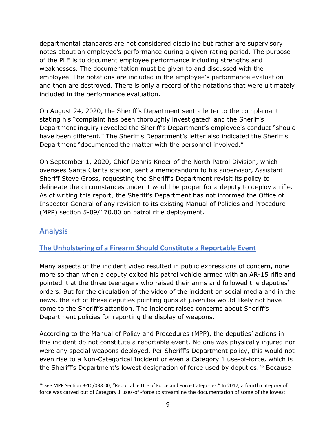departmental standards are not considered discipline but rather are supervisory notes about an employee's performance during a given rating period. The purpose of the PLE is to document employee performance including strengths and weaknesses. The documentation must be given to and discussed with the employee. The notations are included in the employee's performance evaluation and then are destroyed. There is only a record of the notations that were ultimately included in the performance evaluation.

On August 24, 2020, the Sheriff's Department sent a letter to the complainant stating his "complaint has been thoroughly investigated" and the Sheriff's Department inquiry revealed the Sheriff's Department's employee's conduct "should have been different." The Sheriff's Department's letter also indicated the Sheriff's Department "documented the matter with the personnel involved."

On September 1, 2020, Chief Dennis Kneer of the North Patrol Division, which oversees Santa Clarita station, sent a memorandum to his supervisor, Assistant Sheriff Steve Gross, requesting the Sheriff's Department revisit its policy to delineate the circumstances under it would be proper for a deputy to deploy a rifle. As of writing this report, the Sheriff's Department has not informed the Office of Inspector General of any revision to its existing Manual of Policies and Procedure (MPP) section 5-09/170.00 on patrol rifle deployment.

# <span id="page-9-0"></span>Analysis

# <span id="page-9-1"></span>**The Unholstering of a Firearm Should Constitute a Reportable Event**

Many aspects of the incident video resulted in public expressions of concern, none more so than when a deputy exited his patrol vehicle armed with an AR-15 rifle and pointed it at the three teenagers who raised their arms and followed the deputies' orders. But for the circulation of the video of the incident on social media and in the news, the act of these deputies pointing guns at juveniles would likely not have come to the Sheriff's attention. The incident raises concerns about Sheriff's Department policies for reporting the display of weapons.

According to the Manual of Policy and Procedures (MPP), the deputies' actions in this incident do not constitute a reportable event. No one was physically injured nor were any special weapons deployed. Per Sheriff's Department policy, this would not even rise to a Non-Categorical Incident or even a Category 1 use-of-force, which is the Sheriff's Department's lowest designation of force used by deputies. <sup>26</sup> Because

<sup>26</sup> *See* MPP Section 3-10/038.00, "Reportable Use of Force and Force Categories." In 2017, a fourth category of force was carved out of Category 1 uses-of -force to streamline the documentation of some of the lowest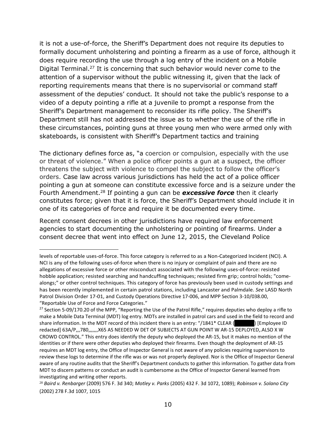it is not a use-of-force, the Sheriff's Department does not require its deputies to formally document unholstering and pointing a firearm as a use of force, although it does require recording the use through a log entry of the incident on a Mobile Digital Terminal.<sup>27</sup> It is concerning that such behavior would never come to the attention of a supervisor without the public witnessing it, given that the lack of reporting requirements means that there is no supervisorial or command staff assessment of the deputies' conduct. It should not take the public's response to a video of a deputy pointing a rifle at a juvenile to prompt a response from the Sheriff's Department management to reconsider its rifle policy. The Sheriff's Department still has not addressed the issue as to whether the use of the rifle in these circumstances, pointing guns at three young men who were armed only with skateboards, is consistent with Sheriff's Department tactics and training

The dictionary defines force as, "a coercion or compulsion, especially with the use or threat of violence." When a police officer points a gun at a suspect, the officer threatens the subject with violence to compel the subject to follow the officer's orders. Case law across various jurisdictions has held the act of a police officer pointing a gun at someone can constitute excessive force and is a seizure under the Fourth Amendment.<sup>28</sup> If pointing a gun can be *excessive force* then it clearly constitutes force; given that it is force, the Sheriff's Department should include it in one of its categories of force and require it be documented every time.

Recent consent decrees in other jurisdictions have required law enforcement agencies to start documenting the unholstering or pointing of firearms. Under a consent decree that went into effect on June 12, 2015, the Cleveland Police

levels of reportable uses-of-force. This force category is referred to as a Non-Categorized Incident (NCI). A NCI is any of the following uses-of-force when there is no injury or complaint of pain and there are no allegations of excessive force or other misconduct associated with the following uses-of-force: resisted hobble application; resisted searching and handcuffing techniques; resisted firm grip; control holds; "comealongs;" or other control techniques. This category of force has previously been used in custody settings and has been recently implemented in certain patrol stations, including Lancaster and Palmdale. *See* LASD North Patrol Division Order 17-01, and Custody Operations Directive 17-006, and MPP Section 3-10/038.00, "Reportable Use of Force and Force Categories."

<sup>&</sup>lt;sup>27</sup> Section 5-09/170.20 of the MPP, "Reporting the Use of the Patrol Rifle," requires deputies who deploy a rifle to make a Mobile Data Terminal (MDT) log entry. MDTs are installed in patrol cars and used in the field to record and share information. In the MDT record of this incident there is an entry: "/1841\* CLEAR (Femployee ID redacted] 63A/P,,,780,,,,,,,X65 AS NEEDED W DET OF SUBJECTS AT GUN POINT W AR-15 DEPLOYED,.ALSO X W CROWD CONTROL." This entry does identify the deputy who deployed the AR-15, but it makes no mention of the identities or if there were other deputies who deployed their firearms. Even though the deployment of AR-15 requires an MDT log entry, the Office of Inspector General is not aware of any policies requiring supervisors to review these logs to determine if the rifle was or was not properly deployed. Nor is the Office of Inspector General aware of any routine audits that the Sheriff's Department conducts to gather this information. To gather data from MDT to discern patterns or conduct an audit is cumbersome as the Office of Inspector General learned from investigating and writing other reports.

<sup>28</sup> *Baird v. Renbarger* (2009) 576 F. 3d 340; *Motley v. Parks* (2005) 432 F. 3d 1072, 1089); *Robinson v. Solano City* (2002) 278 F.3d 1007, 1015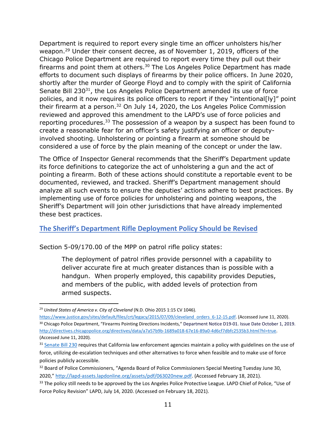Department is required to report every single time an officer unholsters his/her weapon.<sup>29</sup> Under their consent decree, as of November 1, 2019, officers of the Chicago Police Department are required to report every time they pull out their firearms and point them at others. $30$  The Los Angeles Police Department has made efforts to document such displays of firearms by their police officers. In June 2020, shortly after the murder of George Floyd and to comply with the spirit of California Senate Bill 230<sup>31</sup>, the Los Angeles Police Department amended its use of force policies, and it now requires its police officers to report if they "intentional[ly]" point their firearm at a person.<sup>32</sup> On July 14, 2020, the Los Angeles Police Commission reviewed and approved this amendment to the LAPD's use of force policies and reporting procedures. $33$  The possession of a weapon by a suspect has been found to create a reasonable fear for an officer's safety justifying an officer or deputyinvolved shooting. Unholstering or pointing a firearm at someone should be considered a use of force by the plain meaning of the concept or under the law.

The Office of Inspector General recommends that the Sheriff's Department update its force definitions to categorize the act of unholstering a gun and the act of pointing a firearm. Both of these actions should constitute a reportable event to be documented, reviewed, and tracked. Sheriff's Department management should analyze all such events to ensure the deputies' actions adhere to best practices. By implementing use of force policies for unholstering and pointing weapons, the Sheriff's Department will join other jurisdictions that have already implemented these best practices.

## <span id="page-11-0"></span>**The Sheriff's Department Rifle Deployment Policy Should be Revised**

Section 5-09/170.00 of the MPP on patrol rifle policy states:

The deployment of patrol rifles provide personnel with a capability to deliver accurate fire at much greater distances than is possible with a handgun. When properly employed, this capability provides Deputies, and members of the public, with added levels of protection from armed suspects.

<sup>29</sup> *United States of America v. City of Cleveland* (N.D. Ohio 2015 1:15 CV 1046).

[https://www.justice.gov/sites/default/files/crt/legacy/2015/07/09/cleveland\\_orders\\_6-12-15.pdf.](https://www.justice.gov/sites/default/files/crt/legacy/2015/07/09/cleveland_orders_6-12-15.pdf) (Accessed June 11, 2020). <sup>30</sup> Chicago Police Department, "Firearms Pointing Directions Incidents," Department Notice D19-01. Issue Date October 1, 2019. [http://directives.chicagopolice.org/directives/data/a7a57b9b-1689a018-67e16-89a0-4d6cf7dbfc2535b3.html?hl=true.](http://directives.chicagopolice.org/directives/data/a7a57b9b-1689a018-67e16-89a0-4d6cf7dbfc2535b3.html?hl=true)  (Accessed June 11, 2020).

<sup>&</sup>lt;sup>31</sup> [Senate Bill 230](https://leginfo.legislature.ca.gov/faces/billTextClient.xhtml?bill_id=201920200SB230) requires that California law enforcement agencies maintain a policy with guidelines on the use of force, utilizing de-escalation techniques and other alternatives to force when feasible and to make use of force policies publicly accessible.

<sup>&</sup>lt;sup>32</sup> Board of Police Commissioners, "Agenda Board of Police Commissioners Special Meeting Tuesday June 30, 2020," [http://lapd-assets.lapdonline.org/assets/pdf/063020new.pdf.](http://lapd-assets.lapdonline.org/assets/pdf/063020new.pdf) (Accessed February 18, 2021).

<sup>&</sup>lt;sup>33</sup> The policy still needs to be approved by the Los Angeles Police Protective League. LAPD Chief of Police, "Use of Force Policy Revision" LAPD, July 14, 2020. (Accessed on February 18, 2021).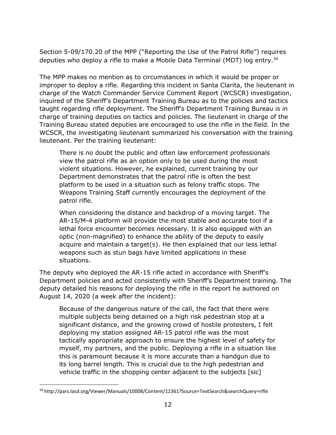Section 5-09/170.20 of the MPP ("Reporting the Use of the Patrol Rifle") requires deputies who deploy a rifle to make a Mobile Data Terminal (MDT) log entry. 34

The MPP makes no mention as to circumstances in which it would be proper or improper to deploy a rifle. Regarding this incident in Santa Clarita, the lieutenant in charge of the Watch Commander Service Comment Report (WCSCR) investigation, inquired of the Sheriff's Department Training Bureau as to the policies and tactics taught regarding rifle deployment. The Sheriff's Department Training Bureau is in charge of training deputies on tactics and policies. The lieutenant in charge of the Training Bureau stated deputies are encouraged to use the rifle in the field. In the WCSCR, the investigating lieutenant summarized his conversation with the training lieutenant. Per the training lieutenant:

There is no doubt the public and often law enforcement professionals view the patrol rifle as an option only to be used during the most violent situations. However, he explained, current training by our Department demonstrates that the patrol rifle is often the best platform to be used in a situation such as felony traffic stops. The Weapons Training Staff currently encourages the deployment of the patrol rifle.

When considering the distance and backdrop of a moving target. The AR-15/M-4 platform will provide the most stable and accurate tool if a lethal force encounter becomes necessary. It is also equipped with an optic (non-magnified) to enhance the ability of the deputy to easily acquire and maintain a target(s). He then explained that our less lethal weapons such as stun bags have limited applications in these situations.

The deputy who deployed the AR-15 rifle acted in accordance with Sheriff's Department policies and acted consistently with Sheriff's Department training. The deputy detailed his reasons for deploying the rifle in the report he authored on August 14, 2020 (a week after the incident):

Because of the dangerous nature of the call, the fact that there were multiple subjects being detained on a high risk pedestrian stop at a significant distance, and the growing crowd of hostile protesters, I felt deploying my station assigned AR-15 patrol rifle was the most tactically appropriate approach to ensure the highest level of safety for myself, my partners, and the public. Deploying a rifle in a situation like this is paramount because it is more accurate than a handgun due to its long barrel length. This is crucial due to the high pedestrian and vehicle traffic in the shopping center adjacent to the subjects [sic]

<sup>34</sup> http://pars.lasd.org/Viewer/Manuals/10008/Content/12361?Source=TextSearch&searchQuery=rifle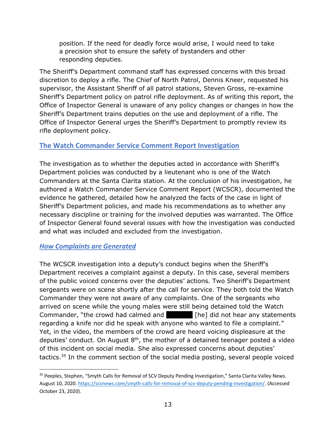position. If the need for deadly force would arise, I would need to take a precision shot to ensure the safety of bystanders and other responding deputies.

The Sheriff's Department command staff has expressed concerns with this broad discretion to deploy a rifle. The Chief of North Patrol, Dennis Kneer, requested his supervisor, the Assistant Sheriff of all patrol stations, Steven Gross, re-examine Sheriff's Department policy on patrol rifle deployment. As of writing this report, the Office of Inspector General is unaware of any policy changes or changes in how the Sheriff's Department trains deputies on the use and deployment of a rifle. The Office of Inspector General urges the Sheriff's Department to promptly review its rifle deployment policy.

## <span id="page-13-0"></span>**The Watch Commander Service Comment Report Investigation**

The investigation as to whether the deputies acted in accordance with Sheriff's Department policies was conducted by a lieutenant who is one of the Watch Commanders at the Santa Clarita station. At the conclusion of his investigation, he authored a Watch Commander Service Comment Report (WCSCR), documented the evidence he gathered, detailed how he analyzed the facts of the case in light of Sheriff's Department policies, and made his recommendations as to whether any necessary discipline or training for the involved deputies was warranted. The Office of Inspector General found several issues with how the investigation was conducted and what was included and excluded from the investigation.

## <span id="page-13-1"></span>*How Complaints are Generated*

The WCSCR investigation into a deputy's conduct begins when the Sheriff's Department receives a complaint against a deputy. In this case, several members of the public voiced concerns over the deputies' actions. Two Sheriff's Department sergeants were on scene shortly after the call for service. They both told the Watch Commander they were not aware of any complaints. One of the sergeants who arrived on scene while the young males were still being detained told the Watch Commander, "the crowd had calmed and **redact [he]** did not hear any statements regarding a knife nor did he speak with anyone who wanted to file a complaint." Yet, in the video, the members of the crowd are heard voicing displeasure at the deputies' conduct. On August  $8<sup>th</sup>$ , the mother of a detained teenager posted a video of this incident on social media. She also expressed concerns about deputies' tactics.<sup>35</sup> In the comment section of the social media posting, several people voiced

<sup>&</sup>lt;sup>35</sup> Peeples, Stephen, "Smyth Calls for Removal of SCV Deputy Pending Investigation," Santa Clarita Valley News. August 10, 2020[. https://scvnews.com/smyth-calls-for-removal-of-scv-deputy-pending-investigation/.](https://scvnews.com/smyth-calls-for-removal-of-scv-deputy-pending-investigation/) (Accessed October 23, 2020).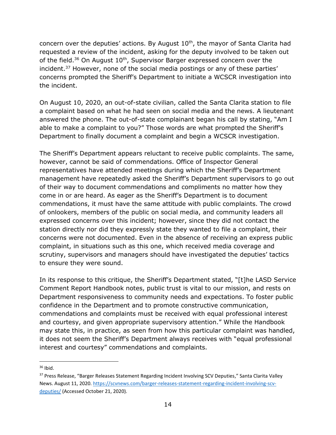concern over the deputies' actions. By August  $10<sup>th</sup>$ , the mayor of Santa Clarita had requested a review of the incident, asking for the deputy involved to be taken out of the field.<sup>36</sup> On August  $10<sup>th</sup>$ , Supervisor Barger expressed concern over the incident. <sup>37</sup> However, none of the social media postings or any of these parties' concerns prompted the Sheriff's Department to initiate a WCSCR investigation into the incident.

On August 10, 2020, an out-of-state civilian, called the Santa Clarita station to file a complaint based on what he had seen on social media and the news. A lieutenant answered the phone. The out-of-state complainant began his call by stating, "Am I able to make a complaint to you?" Those words are what prompted the Sheriff's Department to finally document a complaint and begin a WCSCR investigation.

The Sheriff's Department appears reluctant to receive public complaints. The same, however, cannot be said of commendations. Office of Inspector General representatives have attended meetings during which the Sheriff's Department management have repeatedly asked the Sheriff's Department supervisors to go out of their way to document commendations and compliments no matter how they come in or are heard. As eager as the Sheriff's Department is to document commendations, it must have the same attitude with public complaints. The crowd of onlookers, members of the public on social media, and community leaders all expressed concerns over this incident; however, since they did not contact the station directly nor did they expressly state they wanted to file a complaint, their concerns were not documented. Even in the absence of receiving an express public complaint, in situations such as this one, which received media coverage and scrutiny, supervisors and managers should have investigated the deputies' tactics to ensure they were sound.

In its response to this critique, the Sheriff's Department stated, "[t]he LASD Service Comment Report Handbook notes, public trust is vital to our mission, and rests on Department responsiveness to community needs and expectations. To foster public confidence in the Department and to promote constructive communication, commendations and complaints must be received with equal professional interest and courtesy, and given appropriate supervisory attention." While the Handbook may state this, in practice, as seen from how this particular complaint was handled, it does not seem the Sheriff's Department always receives with "equal professional interest and courtesy" commendations and complaints.

<sup>36</sup> Ibid.

<sup>&</sup>lt;sup>37</sup> Press Release, "[Barger Releases Statement Regarding Incident Involving SCV Deputies](https://scvnews.com/barger-releases-statement-regarding-incident-involving-scv-deputies/)," Santa Clarita Valley News. August 11, 2020. [https://scvnews.com/barger-releases-statement-regarding-incident-involving-scv](https://scvnews.com/barger-releases-statement-regarding-incident-involving-scv-deputies/)[deputies/](https://scvnews.com/barger-releases-statement-regarding-incident-involving-scv-deputies/) (Accessed October 21, 2020).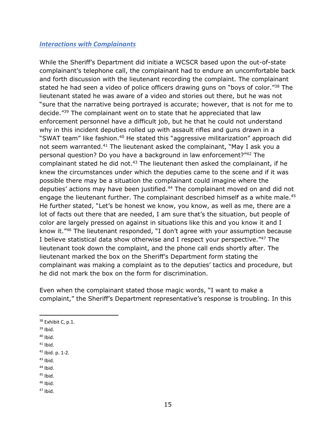#### <span id="page-15-0"></span>*Interactions with Complainants*

While the Sheriff's Department did initiate a WCSCR based upon the out-of-state complainant's telephone call, the complainant had to endure an uncomfortable back and forth discussion with the lieutenant recording the complaint. The complainant stated he had seen a video of police officers drawing guns on "boys of color."<sup>38</sup> The lieutenant stated he was aware of a video and stories out there, but he was not "sure that the narrative being portrayed is accurate; however, that is not for me to decide."<sup>39</sup> The complainant went on to state that he appreciated that law enforcement personnel have a difficult job, but he that he could not understand why in this incident deputies rolled up with assault rifles and guns drawn in a "SWAT team" like fashion.<sup>40</sup> He stated this "aggressive militarization" approach did not seem warranted.<sup>41</sup> The lieutenant asked the complainant, "May I ask you a personal question? Do you have a background in law enforcement?"<sup>42</sup> The complainant stated he did not.<sup>43</sup> The lieutenant then asked the complainant, if he knew the circumstances under which the deputies came to the scene and if it was possible there may be a situation the complainant could imagine where the deputies' actions may have been justified.<sup>44</sup> The complainant moved on and did not engage the lieutenant further. The complainant described himself as a white male.<sup>45</sup> He further stated, "Let's be honest we know, you know, as well as me, there are a lot of facts out there that are needed, I am sure that's the situation, but people of color are largely pressed on against in situations like this and you know it and I know it."<sup>46</sup> The lieutenant responded, "I don't agree with your assumption because I believe statistical data show otherwise and I respect your perspective."<sup>47</sup> The lieutenant took down the complaint, and the phone call ends shortly after. The lieutenant marked the box on the Sheriff's Department form stating the complainant was making a complaint as to the deputies' tactics and procedure, but he did not mark the box on the form for discrimination.

Even when the complainant stated those magic words, "I want to make a complaint," the Sheriff's Department representative's response is troubling. In this

 $44$  Ibid.

- $46$  Ibid.
- $47$  Ibid.

<sup>&</sup>lt;sup>38</sup> Exhibit C, p.1.

 $39$  Ibid.

 $40$  Ibid.

 $41$  Ibid.

<sup>42</sup> Ibid. p. 1-2.

 $43$  Ibid.

 $45$  Ibid.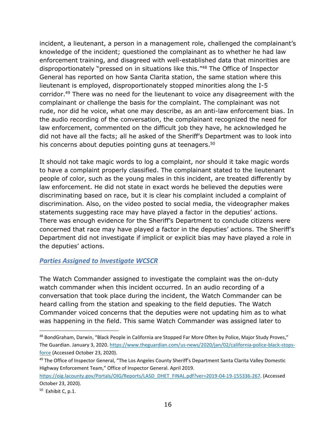incident, a lieutenant, a person in a management role, challenged the complainant's knowledge of the incident; questioned the complainant as to whether he had law enforcement training, and disagreed with well-established data that minorities are disproportionately "pressed on in situations like this."<sup>48</sup> The Office of Inspector General has reported on how Santa Clarita station, the same station where this lieutenant is employed, disproportionately stopped minorities along the I-5 corridor.<sup>49</sup> There was no need for the lieutenant to voice any disagreement with the complainant or challenge the basis for the complaint. The complainant was not rude, nor did he voice, what one may describe, as an anti-law enforcement bias. In the audio recording of the conversation, the complainant recognized the need for law enforcement, commented on the difficult job they have, he acknowledged he did not have all the facts; all he asked of the Sheriff's Department was to look into his concerns about deputies pointing guns at teenagers.<sup>50</sup>

It should not take magic words to log a complaint, nor should it take magic words to have a complaint properly classified. The complainant stated to the lieutenant people of color, such as the young males in this incident, are treated differently by law enforcement. He did not state in exact words he believed the deputies were discriminating based on race, but it is clear his complaint included a complaint of discrimination. Also, on the video posted to social media, the videographer makes statements suggesting race may have played a factor in the deputies' actions. There was enough evidence for the Sheriff's Department to conclude citizens were concerned that race may have played a factor in the deputies' actions. The Sheriff's Department did not investigate if implicit or explicit bias may have played a role in the deputies' actions.

## <span id="page-16-0"></span>*Parties Assigned to Investigate WCSCR*

The Watch Commander assigned to investigate the complaint was the on-duty watch commander when this incident occurred. In an audio recording of a conversation that took place during the incident, the Watch Commander can be heard calling from the station and speaking to the field deputies. The Watch Commander voiced concerns that the deputies were not updating him as to what was happening in the field. This same Watch Commander was assigned later to

<sup>48</sup> BondGraham, Darwin, "Black People in California are Stopped Far More Often by Police, Major Study Proves," The Guardian. January 3, 2020. [https://www.theguardian.com/us-news/2020/jan/02/california-police-black-stops](https://www.theguardian.com/us-news/2020/jan/02/california-police-black-stops-force)[force](https://www.theguardian.com/us-news/2020/jan/02/california-police-black-stops-force) (Accessed October 23, 2020).

<sup>&</sup>lt;sup>49</sup> The Office of Inspector General, "The Los Angeles County Sheriff's Department Santa Clarita Valley Domestic Highway Enforcement Team," Office of Inspector General. April 2019.

[https://oig.lacounty.gov/Portals/OIG/Reports/LASD\\_DHET\\_FINAL.pdf?ver=2019-04-19-155336-267.](https://oig.lacounty.gov/Portals/OIG/Reports/LASD_DHET_FINAL.pdf?ver=2019-04-19-155336-267) (Accessed October 23, 2020).

<sup>50</sup> Exhibit C, p.1.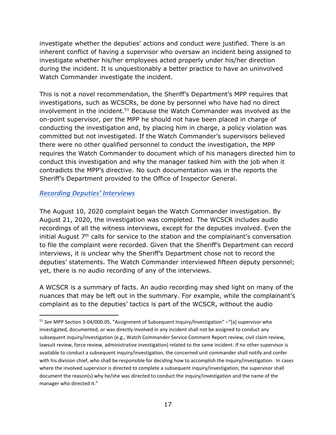investigate whether the deputies' actions and conduct were justified. There is an inherent conflict of having a supervisor who oversaw an incident being assigned to investigate whether his/her employees acted properly under his/her direction during the incident. It is unquestionably a better practice to have an uninvolved Watch Commander investigate the incident.

This is not a novel recommendation, the Sheriff's Department's MPP requires that investigations, such as WCSCRs, be done by personnel who have had no direct involvement in the incident.<sup>51</sup> Because the Watch Commander was involved as the on-point supervisor, per the MPP he should not have been placed in charge of conducting the investigation and, by placing him in charge, a policy violation was committed but not investigated. If the Watch Commander's supervisors believed there were no other qualified personnel to conduct the investigation, the MPP requires the Watch Commander to document which of his managers directed him to conduct this investigation and why the manager tasked him with the job when it contradicts the MPP's directive. No such documentation was in the reports the Sheriff's Department provided to the Office of Inspector General.

### <span id="page-17-0"></span>*Recording Deputies' Interviews*

The August 10, 2020 complaint began the Watch Commander investigation. By August 21, 2020, the investigation was completed. The WCSCR includes audio recordings of all the witness interviews, except for the deputies involved. Even the initial August  $7<sup>th</sup>$  calls for service to the station and the complainant's conversation to file the complaint were recorded. Given that the Sheriff's Department can record interviews, it is unclear why the Sheriff's Department chose not to record the deputies' statements. The Watch Commander interviewed fifteen deputy personnel; yet, there is no audio recording of any of the interviews.

A WCSCR is a summary of facts. An audio recording may shed light on many of the nuances that may be left out in the summary. For example, while the complainant's complaint as to the deputies' tactics is part of the WCSCR, without the audio

<sup>51</sup> *See* MPP Section 3-04/000.05, "Assignment of Subsequent Inquiry/Investigation" –"[a] supervisor who investigated, documented, or was directly involved in any incident shall not be assigned to conduct any subsequent inquiry/investigation (e.g., Watch Commander Service Comment Report review, civil claim review, lawsuit review, force review, administrative investigation) related to the same incident. If no other supervisor is available to conduct a subsequent inquiry/investigation, the concerned unit commander shall notify and confer with his division chief, who shall be responsible for deciding how to accomplish the inquiry/investigation. In cases where the involved supervisor is directed to complete a subsequent inquiry/investigation, the supervisor shall document the reason(s) why he/she was directed to conduct the inquiry/investigation and the name of the manager who directed it."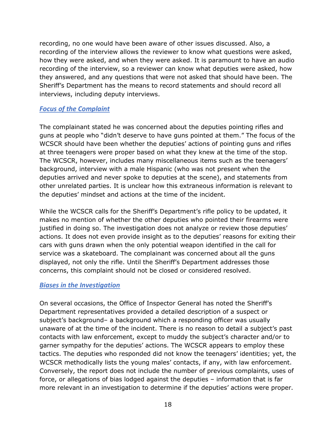recording, no one would have been aware of other issues discussed. Also, a recording of the interview allows the reviewer to know what questions were asked, how they were asked, and when they were asked. It is paramount to have an audio recording of the interview, so a reviewer can know what deputies were asked, how they answered, and any questions that were not asked that should have been. The Sheriff's Department has the means to record statements and should record all interviews, including deputy interviews.

#### <span id="page-18-0"></span>*Focus of the Complaint*

The complainant stated he was concerned about the deputies pointing rifles and guns at people who "didn't deserve to have guns pointed at them." The focus of the WCSCR should have been whether the deputies' actions of pointing guns and rifles at three teenagers were proper based on what they knew at the time of the stop. The WCSCR, however, includes many miscellaneous items such as the teenagers' background, interview with a male Hispanic (who was not present when the deputies arrived and never spoke to deputies at the scene), and statements from other unrelated parties. It is unclear how this extraneous information is relevant to the deputies' mindset and actions at the time of the incident.

While the WCSCR calls for the Sheriff's Department's rifle policy to be updated, it makes no mention of whether the other deputies who pointed their firearms were justified in doing so. The investigation does not analyze or review those deputies' actions. It does not even provide insight as to the deputies' reasons for exiting their cars with guns drawn when the only potential weapon identified in the call for service was a skateboard. The complainant was concerned about all the guns displayed, not only the rifle. Until the Sheriff's Department addresses those concerns, this complaint should not be closed or considered resolved.

#### <span id="page-18-1"></span>*Biases in the Investigation*

On several occasions, the Office of Inspector General has noted the Sheriff's Department representatives provided a detailed description of a suspect or subject's background– a background which a responding officer was usually unaware of at the time of the incident. There is no reason to detail a subject's past contacts with law enforcement, except to muddy the subject's character and/or to garner sympathy for the deputies' actions. The WCSCR appears to employ these tactics. The deputies who responded did not know the teenagers' identities; yet, the WCSCR methodically lists the young males' contacts, if any, with law enforcement. Conversely, the report does not include the number of previous complaints, uses of force, or allegations of bias lodged against the deputies – information that is far more relevant in an investigation to determine if the deputies' actions were proper.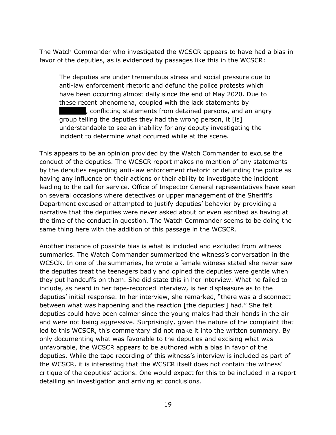The Watch Commander who investigated the WCSCR appears to have had a bias in favor of the deputies, as is evidenced by passages like this in the WCSCR:

The deputies are under tremendous stress and social pressure due to anti-law enforcement rhetoric and defund the police protests which have been occurring almost daily since the end of May 2020. Due to these recent phenomena, coupled with the lack statements by , conflicting statements from detained persons, and an angry group telling the deputies they had the wrong person, it [is] understandable to see an inability for any deputy investigating the incident to determine what occurred while at the scene.

This appears to be an opinion provided by the Watch Commander to excuse the conduct of the deputies. The WCSCR report makes no mention of any statements by the deputies regarding anti-law enforcement rhetoric or defunding the police as having any influence on their actions or their ability to investigate the incident leading to the call for service. Office of Inspector General representatives have seen on several occasions where detectives or upper management of the Sheriff's Department excused or attempted to justify deputies' behavior by providing a narrative that the deputies were never asked about or even ascribed as having at the time of the conduct in question. The Watch Commander seems to be doing the same thing here with the addition of this passage in the WCSCR.

Another instance of possible bias is what is included and excluded from witness summaries. The Watch Commander summarized the witness's conversation in the WCSCR. In one of the summaries, he wrote a female witness stated she never saw the deputies treat the teenagers badly and opined the deputies were gentle when they put handcuffs on them. She did state this in her interview. What he failed to include, as heard in her tape-recorded interview, is her displeasure as to the deputies' initial response. In her interview, she remarked, "there was a disconnect between what was happening and the reaction [the deputies'] had." She felt deputies could have been calmer since the young males had their hands in the air and were not being aggressive. Surprisingly, given the nature of the complaint that led to this WCSCR, this commentary did not make it into the written summary. By only documenting what was favorable to the deputies and excising what was unfavorable, the WCSCR appears to be authored with a bias in favor of the deputies. While the tape recording of this witness's interview is included as part of the WCSCR, it is interesting that the WCSCR itself does not contain the witness' critique of the deputies' actions. One would expect for this to be included in a report detailing an investigation and arriving at conclusions.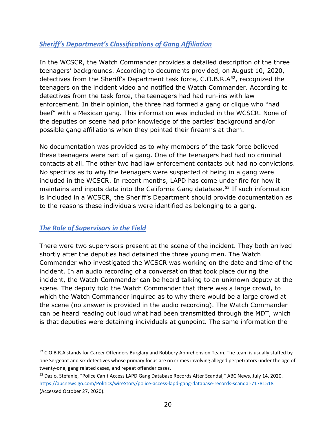# <span id="page-20-0"></span>*Sheriff's Department's Classifications of Gang Affiliation*

In the WCSCR, the Watch Commander provides a detailed description of the three teenagers' backgrounds. According to documents provided, on August 10, 2020, detectives from the Sheriff's Department task force, C.O.B.R.A<sup>52</sup>, recognized the teenagers on the incident video and notified the Watch Commander. According to detectives from the task force, the teenagers had had run-ins with law enforcement. In their opinion, the three had formed a gang or clique who "had beef" with a Mexican gang. This information was included in the WCSCR. None of the deputies on scene had prior knowledge of the parties' background and/or possible gang affiliations when they pointed their firearms at them.

No documentation was provided as to why members of the task force believed these teenagers were part of a gang. One of the teenagers had had no criminal contacts at all. The other two had law enforcement contacts but had no convictions. No specifics as to why the teenagers were suspected of being in a gang were included in the WCSCR. In recent months, LAPD has come under fire for how it maintains and inputs data into the California Gang database.<sup>53</sup> If such information is included in a WCSCR, the Sheriff's Department should provide documentation as to the reasons these individuals were identified as belonging to a gang.

## <span id="page-20-1"></span>*The Role of Supervisors in the Field*

There were two supervisors present at the scene of the incident. They both arrived shortly after the deputies had detained the three young men. The Watch Commander who investigated the WCSCR was working on the date and time of the incident. In an audio recording of a conversation that took place during the incident, the Watch Commander can be heard talking to an unknown deputy at the scene. The deputy told the Watch Commander that there was a large crowd, to which the Watch Commander inquired as to why there would be a large crowd at the scene (no answer is provided in the audio recording). The Watch Commander can be heard reading out loud what had been transmitted through the MDT, which is that deputies were detaining individuals at gunpoint. The same information the

<sup>&</sup>lt;sup>52</sup> C.O.B.R.A stands for Career Offenders Burglary and Robbery Apprehension Team. The team is usually staffed by one Sergeant and six detectives whose primary focus are on crimes involving alleged perpetrators under the age of twenty-one, gang related cases, and repeat offender cases.

<sup>&</sup>lt;sup>53</sup> Dazio, Stefanie, "Police Can't Access LAPD Gang Database Records After Scandal," ABC News, July 14, 2020. <https://abcnews.go.com/Politics/wireStory/police-access-lapd-gang-database-records-scandal-71781518> (Accessed October 27, 2020).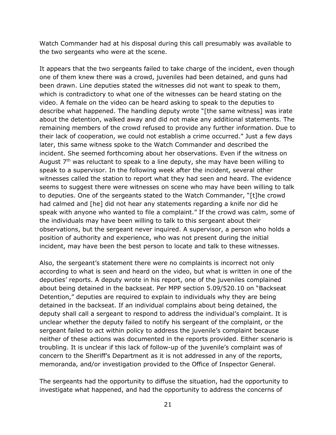Watch Commander had at his disposal during this call presumably was available to the two sergeants who were at the scene.

It appears that the two sergeants failed to take charge of the incident, even though one of them knew there was a crowd, juveniles had been detained, and guns had been drawn. Line deputies stated the witnesses did not want to speak to them, which is contradictory to what one of the witnesses can be heard stating on the video. A female on the video can be heard asking to speak to the deputies to describe what happened. The handling deputy wrote "[the same witness] was irate about the detention, walked away and did not make any additional statements. The remaining members of the crowd refused to provide any further information. Due to their lack of cooperation, we could not establish a crime occurred." Just a few days later, this same witness spoke to the Watch Commander and described the incident. She seemed forthcoming about her observations. Even if the witness on August  $7<sup>th</sup>$  was reluctant to speak to a line deputy, she may have been willing to speak to a supervisor. In the following week after the incident, several other witnesses called the station to report what they had seen and heard. The evidence seems to suggest there were witnesses on scene who may have been willing to talk to deputies. One of the sergeants stated to the Watch Commander, "[t]he crowd had calmed and [he] did not hear any statements regarding a knife nor did he speak with anyone who wanted to file a complaint." If the crowd was calm, some of the individuals may have been willing to talk to this sergeant about their observations, but the sergeant never inquired. A supervisor, a person who holds a position of authority and experience, who was not present during the initial incident, may have been the best person to locate and talk to these witnesses.

Also, the sergeant's statement there were no complaints is incorrect not only according to what is seen and heard on the video, but what is written in one of the deputies' reports. A deputy wrote in his report, one of the juveniles complained about being detained in the backseat. Per MPP section 5.09/520.10 on "Backseat Detention," deputies are required to explain to individuals why they are being detained in the backseat. If an individual complains about being detained, the deputy shall call a sergeant to respond to address the individual's complaint. It is unclear whether the deputy failed to notify his sergeant of the complaint, or the sergeant failed to act within policy to address the juvenile's complaint because neither of these actions was documented in the reports provided. Either scenario is troubling. It is unclear if this lack of follow-up of the juvenile's complaint was of concern to the Sheriff's Department as it is not addressed in any of the reports, memoranda, and/or investigation provided to the Office of Inspector General.

The sergeants had the opportunity to diffuse the situation, had the opportunity to investigate what happened, and had the opportunity to address the concerns of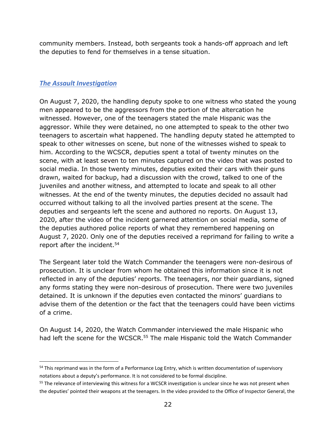community members. Instead, both sergeants took a hands-off approach and left the deputies to fend for themselves in a tense situation.

## <span id="page-22-0"></span>*The Assault Investigation*

On August 7, 2020, the handling deputy spoke to one witness who stated the young men appeared to be the aggressors from the portion of the altercation he witnessed. However, one of the teenagers stated the male Hispanic was the aggressor. While they were detained, no one attempted to speak to the other two teenagers to ascertain what happened. The handling deputy stated he attempted to speak to other witnesses on scene, but none of the witnesses wished to speak to him. According to the WCSCR, deputies spent a total of twenty minutes on the scene, with at least seven to ten minutes captured on the video that was posted to social media. In those twenty minutes, deputies exited their cars with their guns drawn, waited for backup, had a discussion with the crowd, talked to one of the juveniles and another witness, and attempted to locate and speak to all other witnesses. At the end of the twenty minutes, the deputies decided no assault had occurred without talking to all the involved parties present at the scene. The deputies and sergeants left the scene and authored no reports. On August 13, 2020, after the video of the incident garnered attention on social media, some of the deputies authored police reports of what they remembered happening on August 7, 2020. Only one of the deputies received a reprimand for failing to write a report after the incident. 54

The Sergeant later told the Watch Commander the teenagers were non-desirous of prosecution. It is unclear from whom he obtained this information since it is not reflected in any of the deputies' reports. The teenagers, nor their guardians, signed any forms stating they were non-desirous of prosecution. There were two juveniles detained. It is unknown if the deputies even contacted the minors' guardians to advise them of the detention or the fact that the teenagers could have been victims of a crime.

On August 14, 2020, the Watch Commander interviewed the male Hispanic who had left the scene for the WCSCR.<sup>55</sup> The male Hispanic told the Watch Commander

<sup>&</sup>lt;sup>54</sup> This reprimand was in the form of a Performance Log Entry, which is written documentation of supervisory notations about a deputy's performance. It is not considered to be formal discipline.

<sup>&</sup>lt;sup>55</sup> The relevance of interviewing this witness for a WCSCR investigation is unclear since he was not present when the deputies' pointed their weapons at the teenagers. In the video provided to the Office of Inspector General, the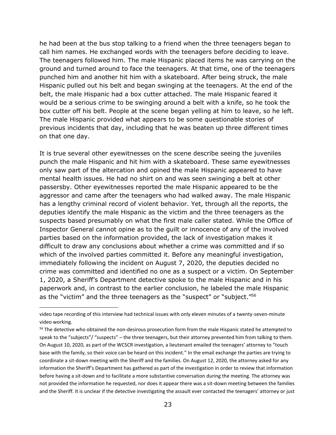he had been at the bus stop talking to a friend when the three teenagers began to call him names. He exchanged words with the teenagers before deciding to leave. The teenagers followed him. The male Hispanic placed items he was carrying on the ground and turned around to face the teenagers. At that time, one of the teenagers punched him and another hit him with a skateboard. After being struck, the male Hispanic pulled out his belt and began swinging at the teenagers. At the end of the belt, the male Hispanic had a box cutter attached. The male Hispanic feared it would be a serious crime to be swinging around a belt with a knife, so he took the box cutter off his belt. People at the scene began yelling at him to leave, so he left. The male Hispanic provided what appears to be some questionable stories of previous incidents that day, including that he was beaten up three different times on that one day.

It is true several other eyewitnesses on the scene describe seeing the juveniles punch the male Hispanic and hit him with a skateboard. These same eyewitnesses only saw part of the altercation and opined the male Hispanic appeared to have mental health issues. He had no shirt on and was seen swinging a belt at other passersby. Other eyewitnesses reported the male Hispanic appeared to be the aggressor and came after the teenagers who had walked away. The male Hispanic has a lengthy criminal record of violent behavior. Yet, through all the reports, the deputies identify the male Hispanic as the victim and the three teenagers as the suspects based presumably on what the first male caller stated. While the Office of Inspector General cannot opine as to the guilt or innocence of any of the involved parties based on the information provided, the lack of investigation makes it difficult to draw any conclusions about whether a crime was committed and if so which of the involved parties committed it. Before any meaningful investigation, immediately following the incident on August 7, 2020, the deputies decided no crime was committed and identified no one as a suspect or a victim. On September 1, 2020, a Sheriff's Department detective spoke to the male Hispanic and in his paperwork and, in contrast to the earlier conclusion, he labeled the male Hispanic as the "victim" and the three teenagers as the "suspect" or "subject."<sup>56</sup>

video tape recording of this interview had technical issues with only eleven minutes of a twenty-seven-minute video working.

<sup>&</sup>lt;sup>56</sup> The detective who obtained the non-desirous prosecution form from the male Hispanic stated he attempted to speak to the "subjects"/ "suspects" – the three teenagers, but their attorney prevented him from talking to them. On August 10, 2020, as part of the WCSCR investigation, a lieutenant emailed the teenagers' attorney to "touch base with the family, so their voice can be heard on this incident." In the email exchange the parties are trying to coordinate a sit-down meeting with the Sheriff and the families. On August 12, 2020, the attorney asked for any information the Sheriff's Department has gathered as part of the investigation in order to review that information before having a sit-down and to facilitate a more substantive conversation during the meeting. The attorney was not provided the information he requested, nor does it appear there was a sit-down meeting between the families and the Sheriff. It is unclear if the detective investigating the assault ever contacted the teenagers' attorney or just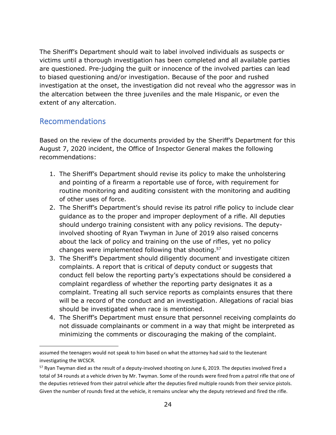The Sheriff's Department should wait to label involved individuals as suspects or victims until a thorough investigation has been completed and all available parties are questioned. Pre-judging the guilt or innocence of the involved parties can lead to biased questioning and/or investigation. Because of the poor and rushed investigation at the onset, the investigation did not reveal who the aggressor was in the altercation between the three juveniles and the male Hispanic, or even the extent of any altercation.

# <span id="page-24-0"></span>Recommendations

Based on the review of the documents provided by the Sheriff's Department for this August 7, 2020 incident, the Office of Inspector General makes the following recommendations:

- 1. The Sheriff's Department should revise its policy to make the unholstering and pointing of a firearm a reportable use of force, with requirement for routine monitoring and auditing consistent with the monitoring and auditing of other uses of force.
- 2. The Sheriff's Department's should revise its patrol rifle policy to include clear guidance as to the proper and improper deployment of a rifle. All deputies should undergo training consistent with any policy revisions. The deputyinvolved shooting of Ryan Twyman in June of 2019 also raised concerns about the lack of policy and training on the use of rifles, yet no policy changes were implemented following that shooting. 57
- 3. The Sheriff's Department should diligently document and investigate citizen complaints. A report that is critical of deputy conduct or suggests that conduct fell below the reporting party's expectations should be considered a complaint regardless of whether the reporting party designates it as a complaint. Treating all such service reports as complaints ensures that there will be a record of the conduct and an investigation. Allegations of racial bias should be investigated when race is mentioned.
- 4. The Sheriff's Department must ensure that personnel receiving complaints do not dissuade complainants or comment in a way that might be interpreted as minimizing the comments or discouraging the making of the complaint.

assumed the teenagers would not speak to him based on what the attorney had said to the lieutenant investigating the WCSCR.

<sup>57</sup> Ryan Twyman died as the result of a deputy-involved shooting on June 6, 2019. The deputies involved fired a total of 34 rounds at a vehicle driven by Mr. Twyman. Some of the rounds were fired from a patrol rifle that one of the deputies retrieved from their patrol vehicle after the deputies fired multiple rounds from their service pistols. Given the number of rounds fired at the vehicle, it remains unclear why the deputy retrieved and fired the rifle.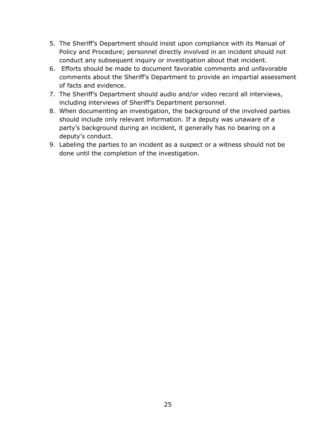- 5. The Sheriff's Department should insist upon compliance with its Manual of Policy and Procedure; personnel directly involved in an incident should not conduct any subsequent inquiry or investigation about that incident.
- 6. Efforts should be made to document favorable comments and unfavorable comments about the Sheriff's Department to provide an impartial assessment of facts and evidence.
- 7. The Sheriff's Department should audio and/or video record all interviews, including interviews of Sheriff's Department personnel.
- 8. When documenting an investigation, the background of the involved parties should include only relevant information. If a deputy was unaware of a party's background during an incident, it generally has no bearing on a deputy's conduct.
- 9. Labeling the parties to an incident as a suspect or a witness should not be done until the completion of the investigation.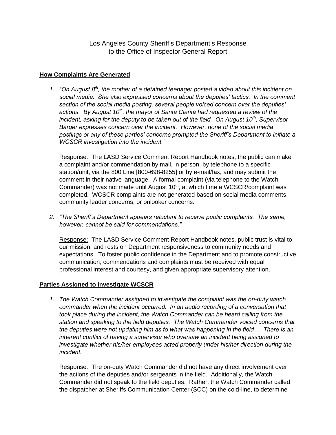Los Angeles County Sheriff's Department's Response to the Office of Inspector General Report

#### **How Complaints Are Generated**

*1. "On August 8th, the mother of a detained teenager posted a video about this incident on social media. She also expressed concerns about the deputies' tactics. In the comment section of the social media posting, several people voiced concern over the deputies' actions. By August 10th, the mayor of Santa Clarita had requested a review of the incident, asking for the deputy to be taken out of the field. On August 10th, Supervisor Barger expresses concern over the incident. However, none of the social media postings or any of these parties' concerns prompted the Sheriff's Department to initiate a WCSCR investigation into the incident."*

Response: The LASD Service Comment Report Handbook notes, the public can make a complaint and/or commendation by mail, in person, by telephone to a specific station/unit, via the 800 Line [800-698-8255] or by e-mail/fax, and may submit the comment in their native language. A formal complaint (via telephone to the Watch Commander) was not made until August 10<sup>th</sup>, at which time a WCSCR/complaint was completed. WCSCR complaints are not generated based on social media comments, community leader concerns, or onlooker concerns.

*2. "The Sheriff's Department appears reluctant to receive public complaints. The same, however, cannot be said for commendations."* 

Response: The LASD Service Comment Report Handbook notes, public trust is vital to our mission, and rests on Department responsiveness to community needs and expectations. To foster public confidence in the Department and to promote constructive communication, commendations and complaints must be received with equal professional interest and courtesy, and given appropriate supervisory attention.

#### **Parties Assigned to Investigate WCSCR**

*1. The Watch Commander assigned to investigate the complaint was the on-duty watch commander when the incident occurred. In an audio recording of a conversation that took place during the incident, the Watch Commander can be heard calling from the station and speaking to the field deputies. The Watch Commander voiced concerns that the deputies were not updating him as to what was happening in the field… There is an inherent conflict of having a supervisor who oversaw an incident being assigned to investigate whether his/her employees acted properly under his/her direction during the incident."*

Response: The on-duty Watch Commander did not have any direct involvement over the actions of the deputies and/or sergeants in the field. Additionally, the Watch Commander did not speak to the field deputies. Rather, the Watch Commander called the dispatcher at Sheriffs Communication Center (SCC) on the cold-line, to determine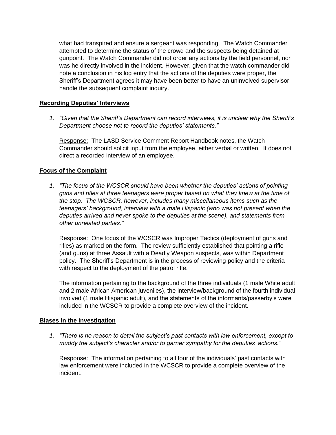what had transpired and ensure a sergeant was responding. The Watch Commander attempted to determine the status of the crowd and the suspects being detained at gunpoint. The Watch Commander did not order any actions by the field personnel, nor was he directly involved in the incident. However, given that the watch commander did note a conclusion in his log entry that the actions of the deputies were proper, the Sheriff's Department agrees it may have been better to have an uninvolved supervisor handle the subsequent complaint inquiry.

#### **Recording Deputies' Interviews**

*1. "Given that the Sheriff's Department can record interviews, it is unclear why the Sheriff's Department choose not to record the deputies' statements."*

Response: The LASD Service Comment Report Handbook notes, the Watch Commander should solicit input from the employee, either verbal or written. It does not direct a recorded interview of an employee.

#### **Focus of the Complaint**

*1. "The focus of the WCSCR should have been whether the deputies' actions of pointing guns and rifles at three teenagers were proper based on what they knew at the time of the stop. The WCSCR, however, includes many miscellaneous items such as the teenagers' background, interview with a male Hispanic (who was not present when the deputies arrived and never spoke to the deputies at the scene), and statements from other unrelated parties."*

Response: One focus of the WCSCR was Improper Tactics (deployment of guns and rifles) as marked on the form. The review sufficiently established that pointing a rifle (and guns) at three Assault with a Deadly Weapon suspects, was within Department policy. The Sheriff's Department is in the process of reviewing policy and the criteria with respect to the deployment of the patrol rifle.

The information pertaining to the background of the three individuals (1 male White adult and 2 male African American juveniles), the interview/background of the fourth individual involved (1 male Hispanic adult), and the statements of the informants/passerby's were included in the WCSCR to provide a complete overview of the incident.

#### **Biases in the Investigation**

*1. "There is no reason to detail the subject's past contacts with law enforcement, except to muddy the subject's character and/or to garner sympathy for the deputies' actions."* 

Response: The information pertaining to all four of the individuals' past contacts with law enforcement were included in the WCSCR to provide a complete overview of the incident.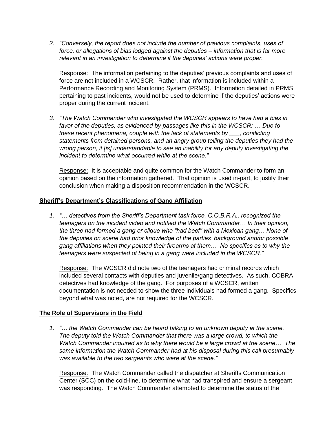*2. "Conversely, the report does not include the number of previous complaints, uses of force, or allegations of bias lodged against the deputies – information that is far more relevant in an investigation to determine if the deputies' actions were proper.*

Response: The information pertaining to the deputies' previous complaints and uses of force are not included in a WCSCR. Rather, that information is included within a Performance Recording and Monitoring System (PRMS). Information detailed in PRMS pertaining to past incidents, would not be used to determine if the deputies' actions were proper during the current incident.

*3. "The Watch Commander who investigated the WCSCR appears to have had a bias in favor of the deputies, as evidenced by passages like this in the WCSCR: … Due to these recent phenomena, couple with the lack of statements by \_\_\_, conflicting statements from detained persons, and an angry group telling the deputies they had the wrong person, it [is] understandable to see an inability for any deputy investigating the incident to determine what occurred while at the scene."*

Response: It is acceptable and quite common for the Watch Commander to form an opinion based on the information gathered. That opinion is used in-part, to justify their conclusion when making a disposition recommendation in the WCSCR.

#### **Sheriff's Department's Classifications of Gang Affiliation**

*1. "… detectives from the Sheriff's Department task force, C.O.B.R.A., recognized the teenagers on the incident video and notified the Watch Commander… In their opinion, the three had formed a gang or clique who "had beef" with a Mexican gang… None of the deputies on scene had prior knowledge of the parties' background and/or possible gang affiliations when they pointed their firearms at them… No specifics as to why the teenagers were suspected of being in a gang were included in the WCSCR."*

Response: The WCSCR did note two of the teenagers had criminal records which included several contacts with deputies and juvenile/gang detectives. As such, COBRA detectives had knowledge of the gang. For purposes of a WCSCR, written documentation is not needed to show the three individuals had formed a gang. Specifics beyond what was noted, are not required for the WCSCR.

#### **The Role of Supervisors in the Field**

*1. "… the Watch Commander can be heard talking to an unknown deputy at the scene. The deputy told the Watch Commander that there was a large crowd, to which the Watch Commander inquired as to why there would be a large crowd at the scene… The same information the Watch Commander had at his disposal during this call presumably was available to the two sergeants who were at the scene."* 

Response: The Watch Commander called the dispatcher at Sheriffs Communication Center (SCC) on the cold-line, to determine what had transpired and ensure a sergeant was responding. The Watch Commander attempted to determine the status of the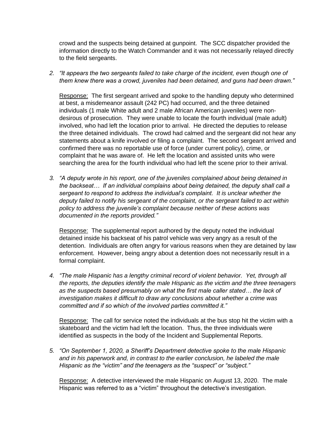crowd and the suspects being detained at gunpoint. The SCC dispatcher provided the information directly to the Watch Commander and it was not necessarily relayed directly to the field sergeants.

*2. "It appears the two sergeants failed to take charge of the incident, even though one of them knew there was a crowd, juveniles had been detained, and guns had been drawn."*

Response: The first sergeant arrived and spoke to the handling deputy who determined at best, a misdemeanor assault (242 PC) had occurred, and the three detained individuals (1 male White adult and 2 male African American juveniles) were nondesirous of prosecution. They were unable to locate the fourth individual (male adult) involved, who had left the location prior to arrival. He directed the deputies to release the three detained individuals. The crowd had calmed and the sergeant did not hear any statements about a knife involved or filing a complaint. The second sergeant arrived and confirmed there was no reportable use of force (under current policy), crime, or complaint that he was aware of. He left the location and assisted units who were searching the area for the fourth individual who had left the scene prior to their arrival.

*3. "A deputy wrote in his report, one of the juveniles complained about being detained in the backseat… If an individual complains about being detained, the deputy shall call a sergeant to respond to address the individual's complaint. It is unclear whether the deputy failed to notify his sergeant of the complaint, or the sergeant failed to act within policy to address the juvenile's complaint because neither of these actions was documented in the reports provided."*

Response: The supplemental report authored by the deputy noted the individual detained inside his backseat of his patrol vehicle was very angry as a result of the detention. Individuals are often angry for various reasons when they are detained by law enforcement. However, being angry about a detention does not necessarily result in a formal complaint.

*4. "The male Hispanic has a lengthy criminal record of violent behavior. Yet, through all the reports, the deputies identify the male Hispanic as the victim and the three teenagers as the suspects based presumably on what the first male caller stated… the lack of investigation makes it difficult to draw any conclusions about whether a crime was committed and if so which of the involved parties committed it."* 

Response: The call for service noted the individuals at the bus stop hit the victim with a skateboard and the victim had left the location. Thus, the three individuals were identified as suspects in the body of the Incident and Supplemental Reports.

*5. "On September 1, 2020, a Sheriff's Department detective spoke to the male Hispanic and in his paperwork and, in contrast to the earlier conclusion, he labeled the male Hispanic as the "victim" and the teenagers as the "suspect" or "subject."*

Response: A detective interviewed the male Hispanic on August 13, 2020. The male Hispanic was referred to as a "victim" throughout the detective's investigation.